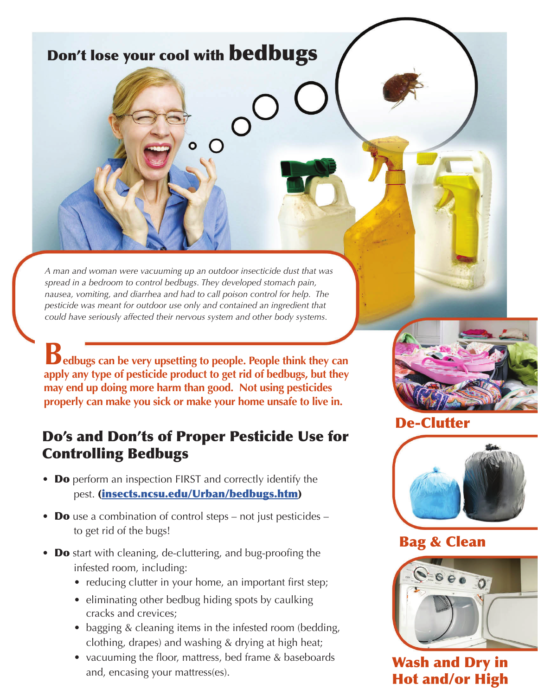# Don't lose your cool with bedbugs

*A man and woman were vacuuming up an outdoor insecticide dust that was spread in a bedroom to control bedbugs. They developed stomach pain, nausea, vomiting, and diarrhea and had to call poison control for help. The pesticide was meant for outdoor use only and contained an ingredient that could have seriously affected their nervous system and other body systems.* 

**Bedbugs can be very upsetting to people. People think they can apply any type of pesticide product to get rid of bedbugs, but they may end up doing more harm than good. Not using pesticides properly can make you sick or make your home unsafe to live in.**

### Do's and Don'ts of Proper Pesticide Use for Controlling Bedbugs

- Do perform an inspection FIRST and correctly identify the pest. ([insects.ncsu.edu/Urban/bedbugs.htm](http://insects.ncsu.edu/Urban/bedbugs.htm))
- **Do** use a combination of control steps not just pesticides to get rid of the bugs!
- **Do** start with cleaning, de-cluttering, and bug-proofing the infested room, including:
	- reducing clutter in your home, an important first step;
	- eliminating other bedbug hiding spots by caulking cracks and crevices;
	- bagging & cleaning items in the infested room (bedding, clothing, drapes) and washing & drying at high heat;
	- vacuuming the floor, mattress, bed frame & baseboards and, encasing your mattress(es).



#### De-Clutter



#### Bag & Clean



Wash and Dry in Hot and/or High